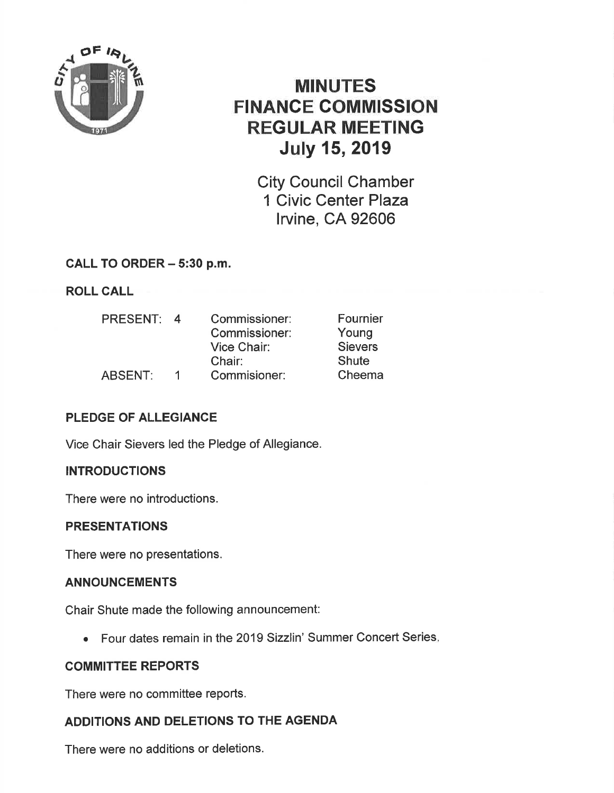

# MINUTES FINANCE COMMISSION REGULAR MEETING July 15,2019

City Council Chamber 1 Civic Center Plaza lrvine, CA 92606

# CALL TO ORDER - 5:30 p.m.

ROLL CALL

| <b>PRESENT:</b> | $\Delta$ | Commissioner: | Fournier       |
|-----------------|----------|---------------|----------------|
|                 |          | Commissioner: | Young          |
|                 |          | Vice Chair:   | <b>Sievers</b> |
|                 |          | Chair:        | Shute          |
| <b>ABSENT:</b>  | ຳ        | Commisioner:  | Cheema         |

# PLEDGE OF ALLEGIANCE

Vice Chair Sievers led the Pledge of Allegiance.

## **INTRODUCTIONS**

There were no introductions.

## **PRESENTATIONS**

There were no presentations.

## ANNOUNCEMENTS

Chair Shute made the following announcement:

• Four dates remain in the 2019 Sizzlin' Summer Concert Series.

## COMMITTEE REPORTS

There were no committee reports.

## ADDITIONS AND DELETIONS TO THE AGENDA

There were no additions or deletions.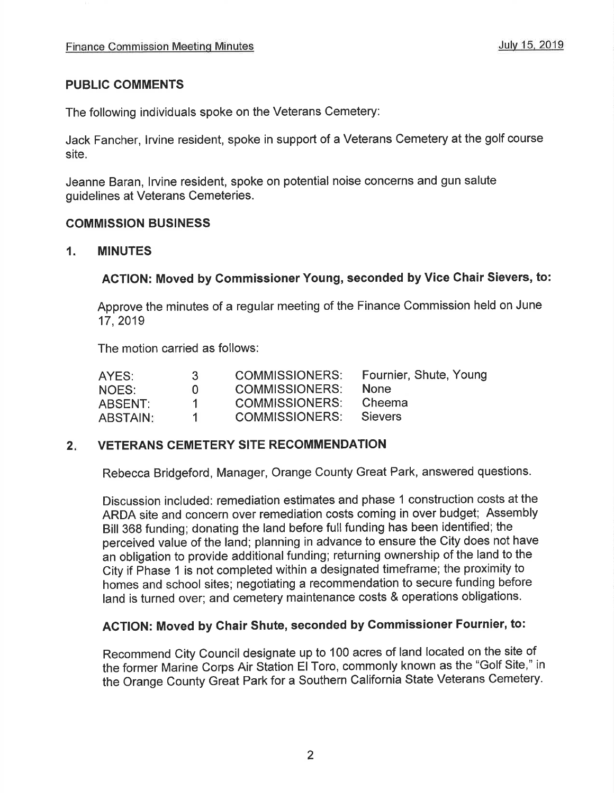## PUBLIC COMMENTS

The following individuals spoke on the Veterans Cemetery:

Jack Fancher, lrvine resident, spoke in support of a Veterans Cemetery at the golf course site.

Jeanne Baran, lrvine resident, spoke on potential noise concerns and gun salute guidelines at Veterans Cemeteries.

#### COMMISSION BUSINESS

#### 1. MINUTES

## ACTION: Moved by Commissioner Young, seconded by Vice Chair Sievers, to:

Approve the minutes of a regular meeting of the Finance Commission held on June 17,2019

The motion carried as follows:

| AYES:           | 3.           | <b>COMMISSIONERS:</b> | Fournier, Shute, Young |
|-----------------|--------------|-----------------------|------------------------|
| NOES:           | $\mathbf{U}$ | <b>COMMISSIONERS:</b> | <b>None</b>            |
| ABSENT:         |              | <b>COMMISSIONERS:</b> | Cheema                 |
| <b>ABSTAIN:</b> |              | COMMISSIONERS:        | Sievers                |

## 2. VETERANS CEMETERY SITE RECOMMENDATION

Rebecca Bridgeford, Manager, Orange County Great Park, answered questions.

Discussion included: remediation estimates and phase 1 construction costs at the ARDA site and concern over remediation costs coming in over budget; Assembly Bill 368 funding; donating the land before full funding has been identified; the perceived value of the land; planning in advance to ensure the City does not have an obligation to provide additional funding; returning ownership of the land to the City if Phase 1 is not completed within a designated timeframe; the proximity to homes and school sites; negotiating a recommendation to secure funding before land is turned over; and cemetery maintenance costs & operations obligations.

# ACTION: Moved by Chair Shute, seconded by Commissioner Fournier, to:

Recommend City Council designate up to 100 acres of land located on the site of the former Marine Corps Air Station El Toro, commonly known as the "Golf Site," in the Orange County Great Park for a Southern California State Veterans Cemetery.